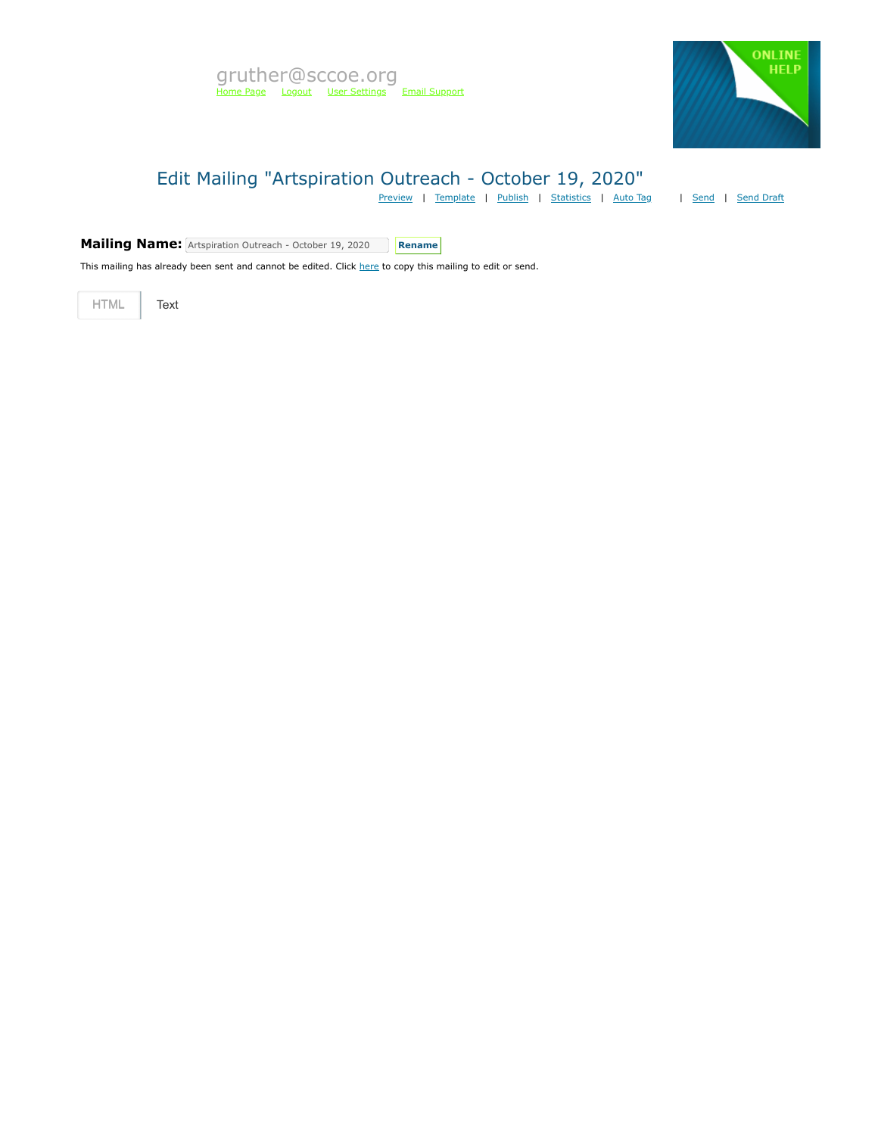

## Edit Mailing "Artspiration Outreach - October 19, 2020"

[Preview](https://mvapp.marketvolt.com/Mailing/Preview/731672) | [Template](https://mvapp.marketvolt.com/TemplatePreview.aspx?TemplateId=35366) | [Publish](https://mvapp.marketvolt.com/Mailing/Publish/731672) | [Statistics](https://mvapp.marketvolt.com/StatsMailing.aspx?MailingID=731672) | [Auto Tag](https://mvapp.marketvolt.com/AutoAssign.aspx?MailingID=731672) | [Send](https://mvapp.marketvolt.com/Mailing/Schedule/731672) | [Send Draft](https://mvapp.marketvolt.com/SendDraft.aspx?MailingID=731672)

**Mailing Name:** Artspiration Outreach - October 19, 2020 **Rename** 

This mailing has already been sent and cannot be edited. Click [here](https://mvapp.marketvolt.com/Mailing/Copy/731672) to copy this mailing to edit or send.

HTML **Text**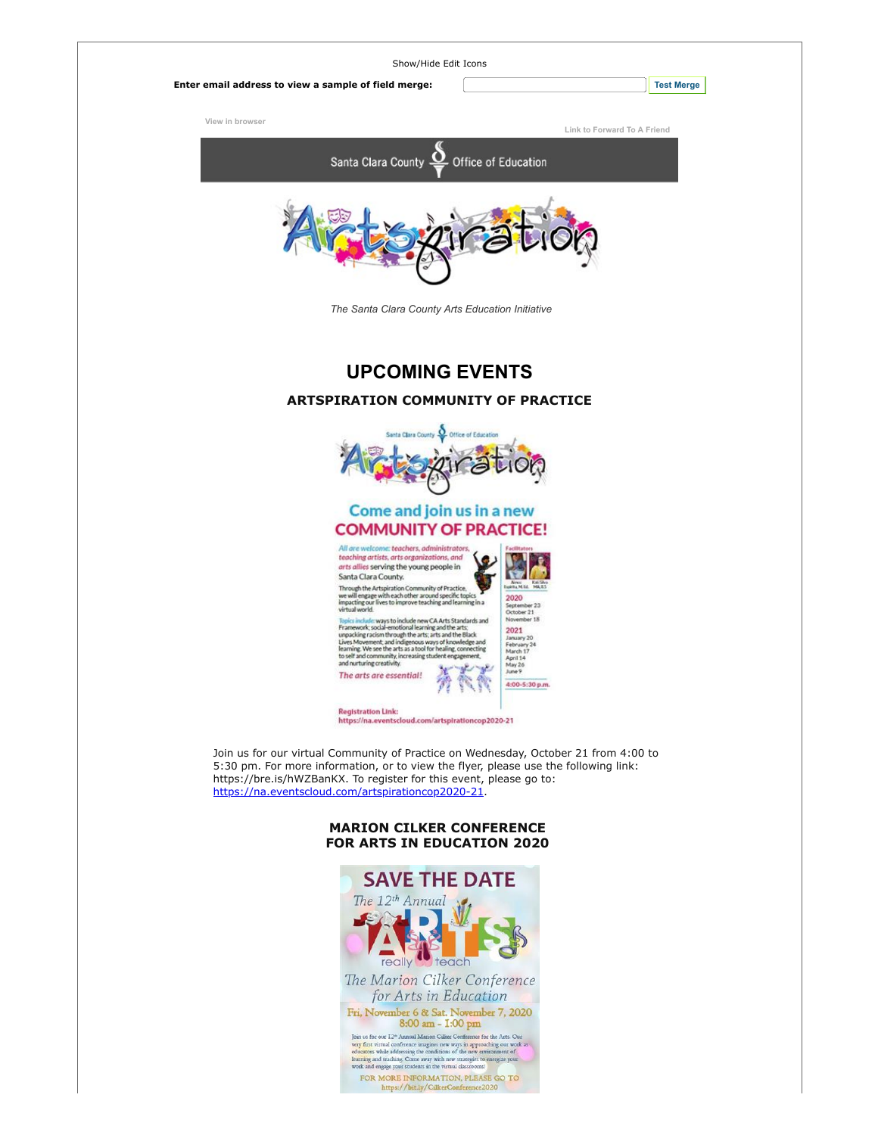

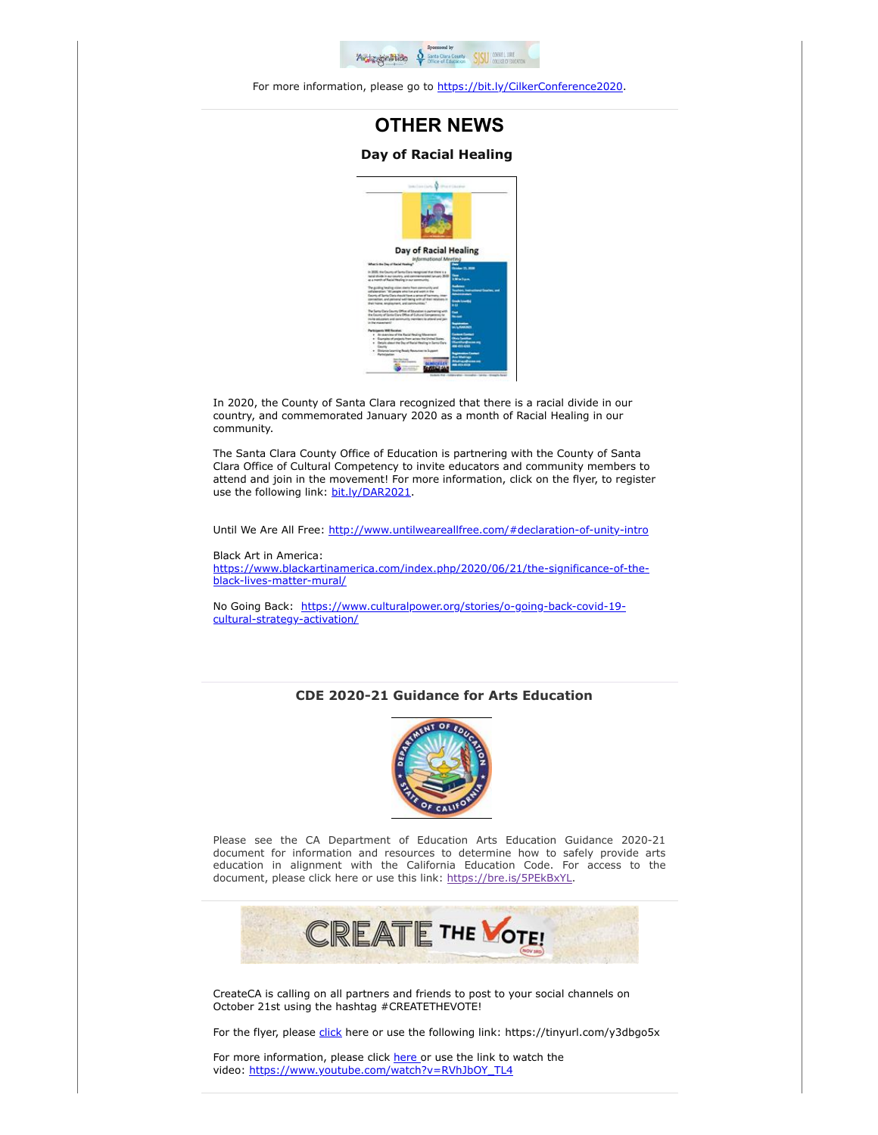

For more information, please go to [https://bit.ly/CilkerConference2020.](https://custapp.marketvolt.com/link/aGYE9RIDHB?CM=0&X=PREVIEW)

## **OTHER NEWS**

## **Day of Racial Healing**



In 2020, the County of Santa Clara recognized that there is a racial divide in our country, and commemorated January 2020 as a month of Racial Healing in our community.

The Santa Clara County Office of Education is partnering with the County of Santa Clara Office of Cultural Competency to invite educators and community members to attend and join in the movement! For more information, click on the flyer, to register use the following link: [bit.ly/DAR2021.](https://custapp.marketvolt.com/link/QX3CNQmsNY?CM=0&X=PREVIEW)

Until We Are All Free: [http://www.untilweareallfree.com/#declaration-of-unity-intro](https://custapp.marketvolt.com/link/eGHoxgcukG?CM=0&X=PREVIEW)

Black Art in America: [https://www.blackartinamerica.com/index.php/2020/06/21/the-significance-of-the](https://custapp.marketvolt.com/link/FTxCUE5KdQ?CM=0&X=PREVIEW)black-lives-matter-mural/

[No Going Back: https://www.culturalpower.org/stories/o-going-back-covid-19](https://custapp.marketvolt.com/link/49FW11zyTm?CM=0&X=PREVIEW) cultural-strategy-activation/

## **CDE 2020-21 Guidance for Arts Education**



Please see the CA Department of Education Arts Education Guidance 2020-21 document for information and resources to determine how to safely provide arts education in alignment with the California Education Code. For access to the document, please click here or use this link: [https://bre.is/5PEkBxYL](https://custapp.marketvolt.com/link/pfx2P9aeD3?CM=0&X=PREVIEW).



CreateCA is calling on all partners and friends to post to your social channels on October 21st using the hashtag #CREATETHEVOTE!

For the flyer, please [click](https://custapp.marketvolt.com/link/rd1qM1QfS1?CM=0&X=PREVIEW) here or use the following link: https://tinyurl.com/y3dbgo5x

For more information, please click [here o](https://custapp.marketvolt.com/link/q8EfKSIfbX?CM=0&X=PREVIEW)r use the link to watch the video: [https://www.youtube.com/watch?v=RVhJbOY\\_TL4](https://custapp.marketvolt.com/link/N5bzfnqBsQ?CM=0&X=PREVIEW)